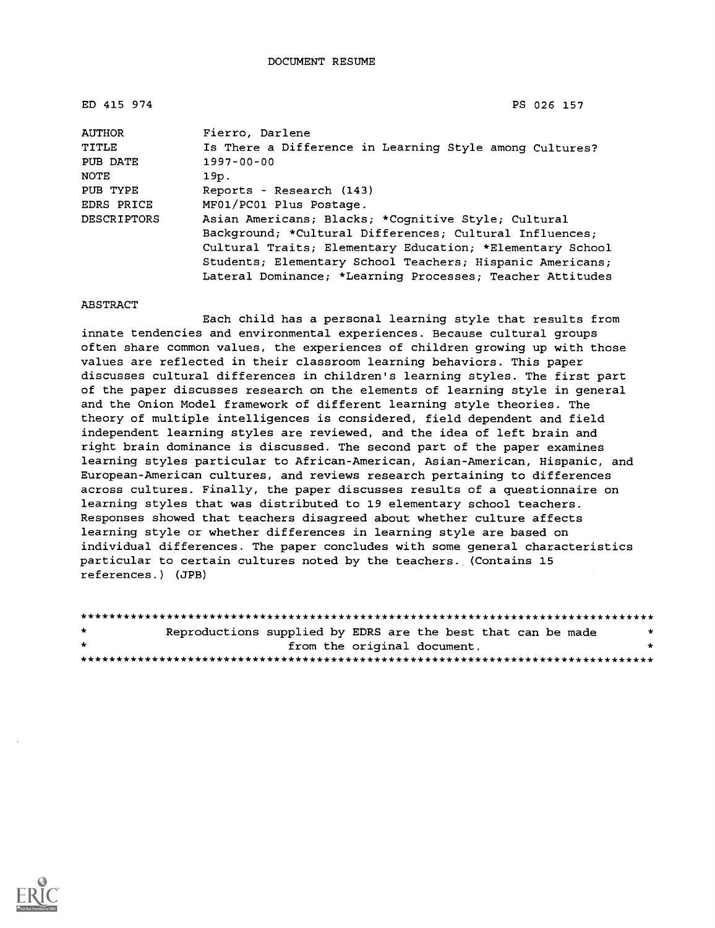| ED 415 974         | PS 026 157                                                |
|--------------------|-----------------------------------------------------------|
| <b>AUTHOR</b>      | Fierro, Darlene                                           |
| TITLE              | Is There a Difference in Learning Style among Cultures?   |
| PUB DATE           | $1997 - 00 - 00$                                          |
| NOTE               | 19p.                                                      |
| PUB TYPE           | Reports - Research (143)                                  |
| <b>EDRS PRICE</b>  | MF01/PC01 Plus Postage.                                   |
| <b>DESCRIPTORS</b> | Asian Americans; Blacks; *Cognitive Style; Cultural       |
|                    | Background; *Cultural Differences; Cultural Influences;   |
|                    | Cultural Traits; Elementary Education; *Elementary School |
|                    | Students; Elementary School Teachers; Hispanic Americans; |
|                    | Lateral Dominance; *Learning Processes; Teacher Attitudes |

#### ABSTRACT

Each child has a personal learning style that results from innate tendencies and environmental experiences. Because cultural groups often share common values, the experiences of children growing up with those values are reflected in their classroom learning behaviors. This paper discusses cultural differences in children's learning styles. The first part of the paper discusses research on the elements of learning style in general and the Onion Model framework of different learning style theories. The theory of multiple intelligences is considered, field dependent and field independent learning styles are reviewed, and the idea of left brain and right brain dominance is discussed. The second part of the paper examines learning styles particular to African-American, Asian-American, Hispanic, and European-American cultures, and reviews research pertaining to differences across cultures. Finally, the paper discusses results of a questionnaire on learning styles that was distributed to 19 elementary school teachers. Responses showed that teachers disagreed about whether culture affects learning style or whether differences in learning style are based on individual differences. The paper concludes with some general characteristics particular to certain cultures noted by the teachers. (Contains 15 references.) (JPB)

| $\star$ | Reproductions supplied by EDRS are the best that can be made |  |  |                             |  |  | * |  |
|---------|--------------------------------------------------------------|--|--|-----------------------------|--|--|---|--|
| $\cdot$ |                                                              |  |  | from the original document. |  |  |   |  |
|         |                                                              |  |  |                             |  |  |   |  |

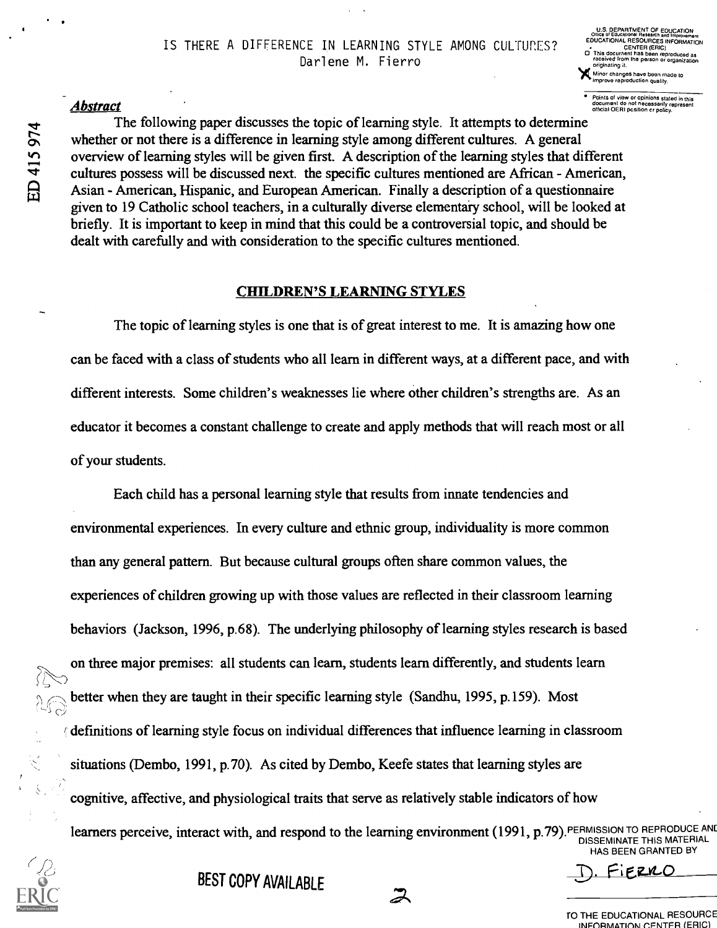### ${\bf A}$   $\bf{b}$   $\bf{stract}$   $\bf{cont}$  and  $\bf{cont}$  of  $\bf{cont}$  and  $\bf{cont}$  of  $\bf{cont}$  and  $\bf{cont}$  of  $\bf{cont}$  and  $\bf{cont}$   $\bf{cont}$  and  $\bf{cont}$   $\bf{cont}$  and  $\bf{cont}$   $\bf{cont}$  and  $\bf{cont}$   $\bf{cont}$  and  $\bf{cont}$   $\bf{cont}$   $\bf{cont}$   $\bf{cont}$   $\bf{$

The following paper discusses the topic of learning style. It attempts to determine whether or not there is a difference in learning style among different cultures. A general overview of learning styles will be given first. A description of the learning styles that different cultures possess will be discussed next. the specific cultures mentioned are African - American, Asian - American, Hispanic, and European American. Finally a description of a questionnaire given to 19 Catholic school teachers, in a culturally diverse elementary school, will be looked at briefly. It is important to keep in mind that this could be a controversial topic, and should be dealt with carefully and with consideration to the specific cultures mentioned.

#### CHILDREN'S LEARNING STYLES

The topic of learning styles is one that is of great interest to me. It is amazing how one can be faced with a class of students who all learn in different ways, at a different pace, and with different interests. Some children's weaknesses lie where other children's strengths are. As an educator it becomes a constant challenge to create and apply methods that will reach most or all of your students.

Each child has a personal learning style that results from innate tendencies and environmental experiences. In every culture and ethnic group, individuality is more common than any general pattern. But because cultural groups often share common values, the experiences of children growing up with those values are reflected in their classroom learning behaviors (Jackson, 1996, p.68). The underlying philosophy of learning styles research is based on three major premises: all students can learn, students learn differently, and students learn better when they are taught in their specific learning style (Sandhu, 1995, p.159). Most  $\beta$  definitions of learning style focus on individual differences that influence learning in classroom situations (Dembo, 1991, p.70). As cited by Dembo, Keefe states that learning styles are cognitive, affective, and physiological traits that serve as relatively stable indicators of how learners perceive, interact with, and respond to the learning environment (1991, p.79). PERMISSION TO REPRODUCE AND

 $\boldsymbol{\mathcal{Z}}$ 

DISSEMINATE THIS MATERIAL HAS BEEN GRANTED BY

BEST COPY AVAII ARIF DESTORE DESTORE

DEPARTMENT OF EDUC EDUCATIONAL RESOURCES INFORMATION<br>CATIONAL RESOURCES INFORMATION CENTER (ERIC) 0 This document has been reproduced as received from the person or organization

Minor changes have been made to improve reproduction quality.

originating it.

TO THE EDUCATIONAL RESOURCE INFORMATION CENTER (ERIC)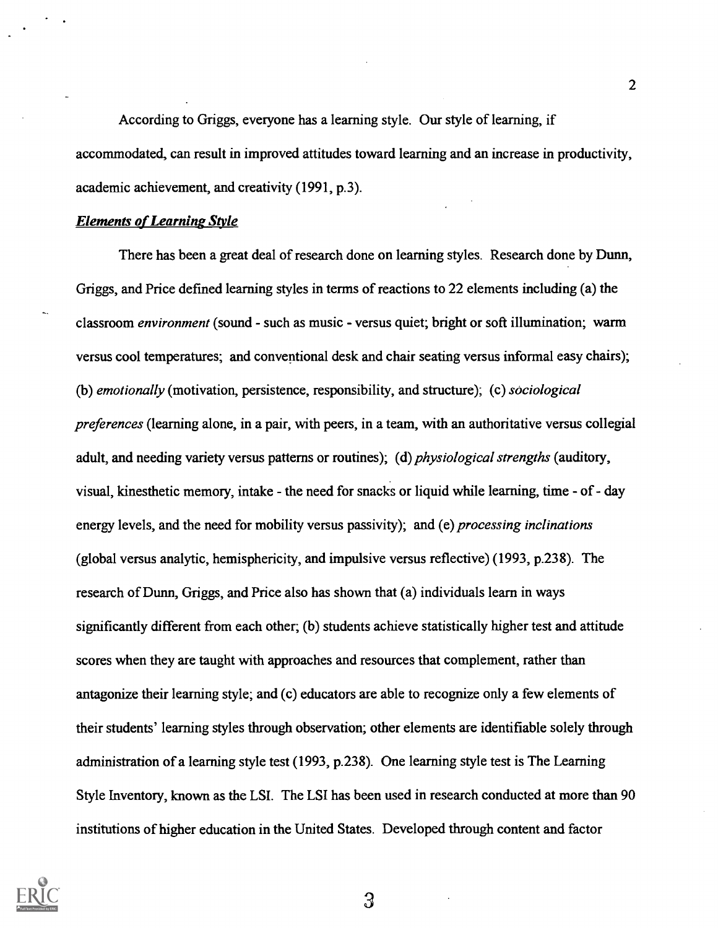According to Griggs, everyone has a learning style. Our style of learning, if accommodated, can result in improved attitudes toward learning and an increase in productivity, academic achievement, and creativity (1991, p.3).

#### Elements of Learning Style

There has been a great deal of research done on learning styles. Research done by Dunn, Griggs, and Price defined learning styles in terms of reactions to 22 elements including (a) the classroom environment (sound - such as music - versus quiet; bright or soft illumination; warm versus cool temperatures; and conventional desk and chair seating versus informal easy chairs); (b) emotionally (motivation, persistence, responsibility, and structure); (c) sociological preferences (learning alone, in a pair, with peers, in a team, with an authoritative versus collegial adult, and needing variety versus patterns or routines); (d) *physiological strengths* (auditory, visual, kinesthetic memory, intake - the need for snacks or liquid while learning, time - of - day energy levels, and the need for mobility versus passivity); and (e) *processing inclinations* (global versus analytic, hemisphericity, and impulsive versus reflective) (1993, p.238). The research of Dunn, Griggs, and Price also has shown that (a) individuals learn in ways significantly different from each other; (b) students achieve statistically higher test and attitude scores when they are taught with approaches and resources that complement, rather than antagonize their learning style; and (c) educators are able to recognize only a few elements of their students' learning styles through observation; other elements are identifiable solely through administration of a learning style test (1993, p.238). One learning style test is The Learning Style Inventory, known as the LSI. The LSI has been used in research conducted at more than 90 institutions of higher education in the United States. Developed through content and factor

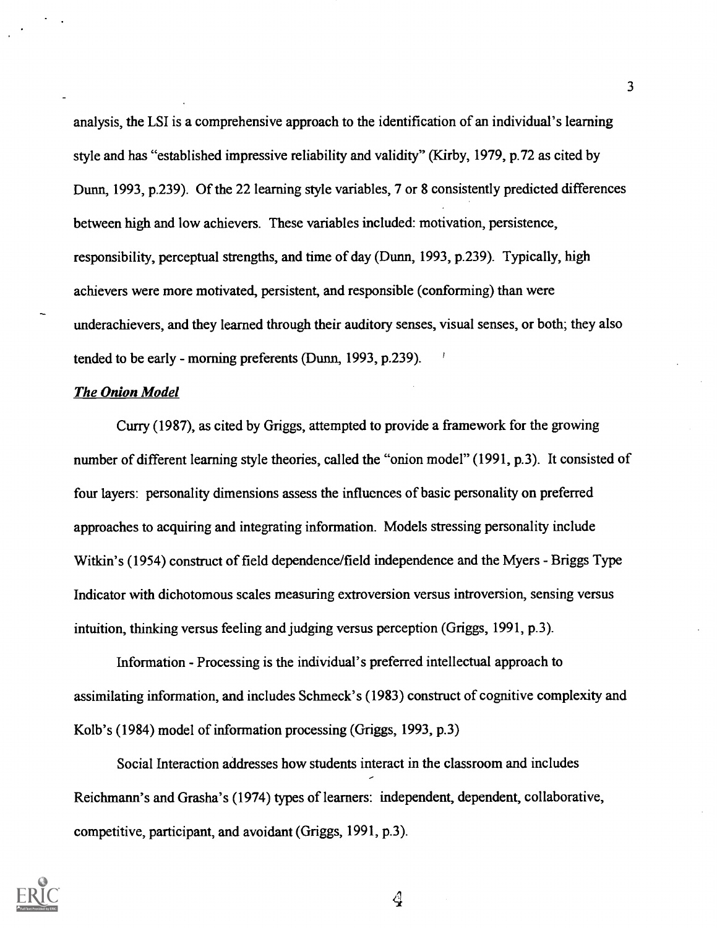analysis, the LSI is a comprehensive approach to the identification of an individual's learning style and has "established impressive reliability and validity" (Kirby, 1979, p.72 as cited by Dunn, 1993, p.239). Of the 22 learning style variables, 7 or 8 consistently predicted differences between high and low achievers. These variables included: motivation, persistence, responsibility, perceptual strengths, and time of day (Dunn, 1993, p.239). Typically, high achievers were more motivated, persistent, and responsible (conforming) than were underachievers, and they learned through their auditory senses, visual senses, or both; they also tended to be early - morning preferents (Dunn, 1993, p.239). '

#### The Onion Model

Curry (1987), as cited by Griggs, attempted to provide a framework for the growing number of different learning style theories, called the "onion model" (1991, p.3). It consisted of four layers: personality dimensions assess the influences of basic personality on preferred approaches to acquiring and integrating information. Models stressing personality include Witkin's (1954) construct of field dependence/field independence and the Myers - Briggs Type Indicator with dichotomous scales measuring extroversion versus introversion, sensing versus intuition, thinking versus feeling and judging versus perception (Griggs, 1991, p.3).

Information - Processing is the individual's preferred intellectual approach to assimilating information, and includes Schmeck's (1983) construct of cognitive complexity and Kolb's (1984) model of information processing (Griggs, 1993, p.3)

Social Interaction addresses how students interact in the classroom and includes Reichmann's and Grasha's (1974) types of learners: independent, dependent, collaborative, competitive, participant, and avoidant (Griggs, 1991, p.3).

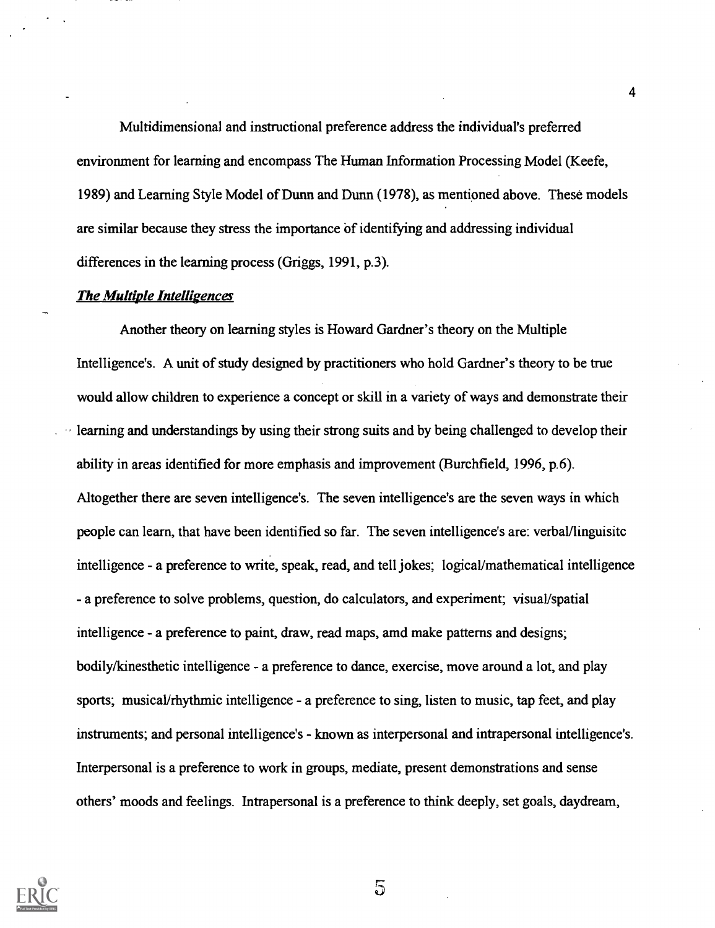Multidimensional and instructional preference address the individual's preferred environment for learning and encompass The Human Information Processing Model (Keefe, 1989) and Learning Style Model of Dunn and Dunn (1978), as mentioned above. These models are similar because they stress the importance of identifying and addressing individual differences in the learning process (Griggs, 1991, p.3).

#### The Multiple Intelligences

Another theory on learning styles is Howard Gardner's theory on the Multiple Intelligence's. A unit of study designed by practitioners who hold Gardner's theory to be true would allow children to experience a concept or skill in a variety of ways and demonstrate their learning and understandings by using their strong suits and by being challenged to develop their ability in areas identified for more emphasis and improvement (Burchfield, 1996, p.6). Altogether there are seven intelligence's. The seven intelligence's are the seven ways in which people can learn, that have been identified so far. The seven intelligence's are: verbal/linguisitc intelligence - a preference to write, speak, read, and tell jokes; logical/mathematical intelligence - a preference to solve problems, question, do calculators, and experiment; visual/spatial intelligence - a preference to paint, draw, read maps, amd make patterns and designs; bodily/kinesthetic intelligence - a preference to dance, exercise, move around a lot, and play sports; musical/rhythmic intelligence - a preference to sing, listen to music, tap feet, and play instruments; and personal intelligence's - known as interpersonal and intrapersonal intelligence's. Interpersonal is a preference to work in groups, mediate, present demonstrations and sense others' moods and feelings. Intrapersonal is a preference to think deeply, set goals, daydream,

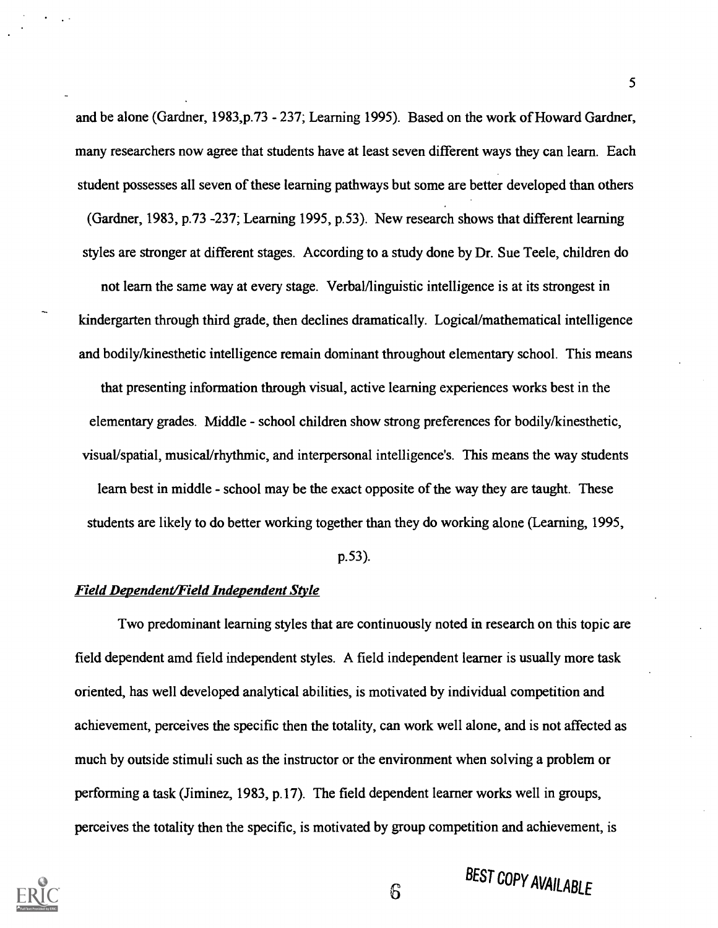and be alone (Gardner, 1983,p.73 - 237; Learning 1995). Based on the work of Howard Gardner, many researchers now agree that students have at least seven different ways they can learn. Each student possesses all seven of these learning pathways but some are better developed than others (Gardner, 1983, p.73 -237; Learning 1995, p.53). New research shows that different learning styles are stronger at different stages. According to a study done by Dr. Sue Teele, children do not learn the same way at every stage. Verbal/linguistic intelligence is at its strongest in kindergarten through third grade, then declines dramatically. Logical/mathematical intelligence and bodily/kinesthetic intelligence remain dominant throughout elementary school. This means that presenting information through visual, active learning experiences works best in the elementary grades. Middle - school children show strong preferences for bodily/kinesthetic, visual/spatial, musical/rhythmic, and interpersonal intelligence's. This means the way students learn best in middle - school may be the exact opposite of the way they are taught. These students are likely to do better working together than they do working alone (Learning, 1995,

p.53).

#### Field Dependent/Field Independent Style

Two predominant learning styles that are continuously noted in research on this topic are field dependent amd field independent styles. A field independent learner is usually more task oriented, has well developed analytical abilities, is motivated by individual competition and achievement, perceives the specific then the totality, can work well alone, and is not affected as much by outside stimuli such as the instructor or the environment when solving a problem or performing a task (Jiminez, 1983, p.17). The field dependent learner works well in groups, perceives the totality then the specific, is motivated by group competition and achievement, is

 $6\overline{6}$ 



# BEST COPY AVAILABLE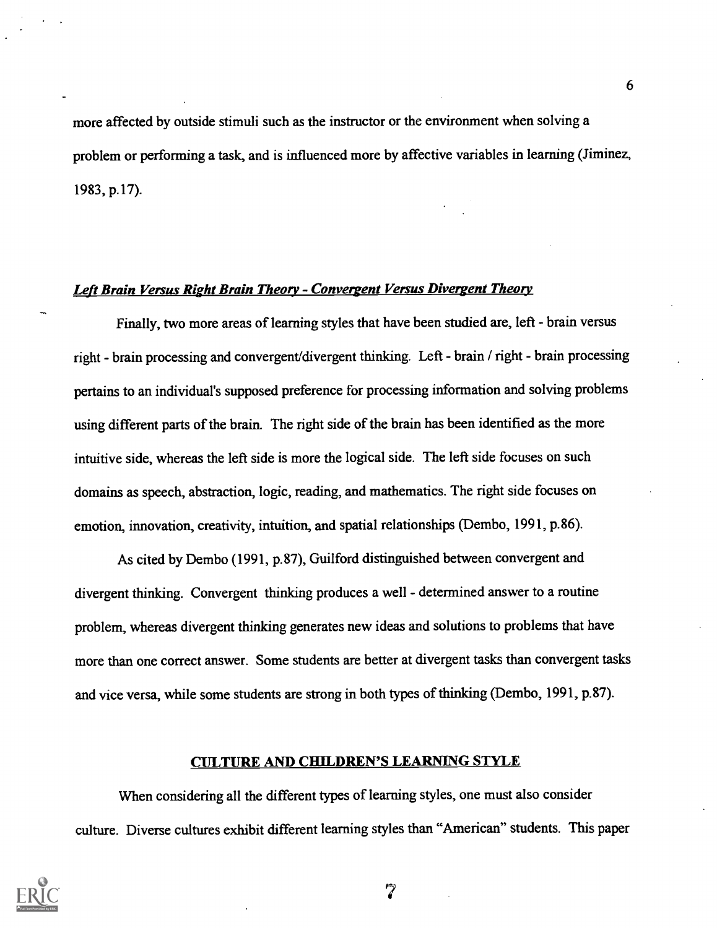more affected by outside stimuli such as the instructor or the environment when solving a problem or performing a task, and is influenced more by affective variables in learning (Jiminez, 1983, p.17).

#### Left Brain Versus Right Brain Theory - Convergent Versus Divergent Theory

Finally, two more areas of learning styles that have been studied are, left - brain versus right - brain processing and convergent/divergent thinking. Left - brain / right - brain processing pertains to an individual's supposed preference for processing information and solving problems using different parts of the brain. The right side of the brain has been identified as the more intuitive side, whereas the left side is more the logical side. The left side focuses on such domains as speech, abstraction, logic, reading, and mathematics. The right side focuses on emotion, innovation, creativity, intuition, and spatial relationships (Dembo, 1991, p.86).

As cited by Dembo (1991, p.87), Guilford distinguished between convergent and divergent thinking. Convergent thinking produces a well - determined answer to a routine problem, whereas divergent thinking generates new ideas and solutions to problems that have more than one correct answer. Some students are better at divergent tasks than convergent tasks and vice versa, while some students are strong in both types of thinking (Dembo, 1991, p.87).

#### CULTURE AND CHILDREN'S LEARNING STYLE

When considering all the different types of learning styles, one must also consider culture. Diverse cultures exhibit different learning styles than "American" students. This paper



7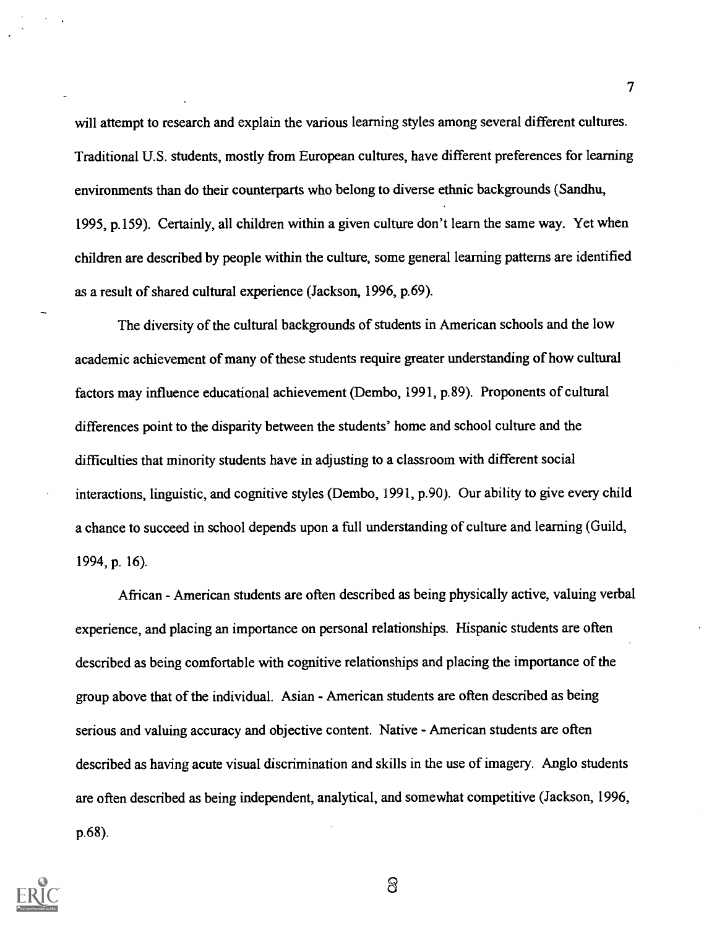will attempt to research and explain the various learning styles among several different cultures. Traditional U.S. students, mostly from European cultures, have different preferences for learning environments than do their counterparts who belong to diverse ethnic backgrounds (Sandhu, 1995, p.159). Certainly, all children within a given culture don't learn the same way. Yet when children are described by people within the culture, some general learning patterns are identified as a result of shared cultural experience (Jackson, 1996, p.69).

The diversity of the cultural backgrounds of students in American schools and the low academic achievement of many of these students require greater understanding of how cultural factors may influence educational achievement (Dembo, 1991, p.89). Proponents of cultural differences point to the disparity between the students' home and school culture and the difficulties that minority students have in adjusting to a classroom with different social interactions, linguistic, and cognitive styles (Dembo, 1991, p.90). Our ability to give every child a chance to succeed in school depends upon a full understanding of culture and learning (Guild, 1994, p. 16).

African - American students are often described as being physically active, valuing verbal experience, and placing an importance on personal relationships. Hispanic students are often described as being comfortable with cognitive relationships and placing the importance of the group above that of the individual. Asian - American students are often described as being serious and valuing accuracy and objective content. Native - American students are often described as having acute visual discrimination and skills in the use of imagery. Anglo students are often described as being independent, analytical, and somewhat competitive (Jackson, 1996, p.68).



 $\infty$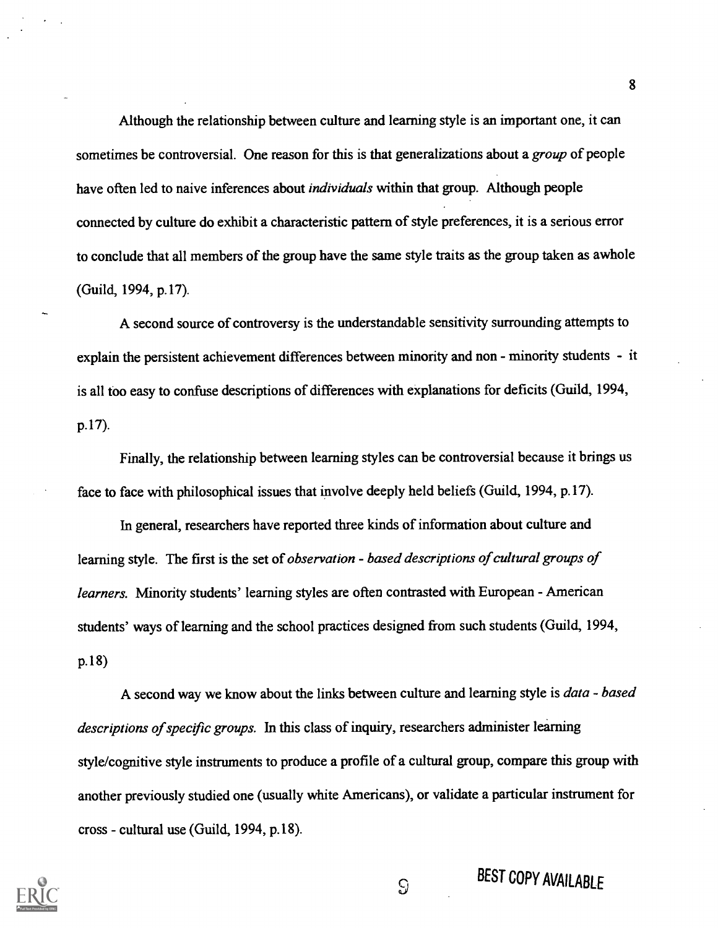Although the relationship between culture and learning style is an important one, it can sometimes be controversial. One reason for this is that generalizations about a *group* of people have often led to naive inferences about *individuals* within that group. Although people connected by culture do exhibit a characteristic pattern of style preferences, it is a serious error to conclude that all members of the group have the same style traits as the group taken as awhole (Guild, 1994, p.17).

A second source of controversy is the understandable sensitivity surrounding attempts to explain the persistent achievement differences between minority and non - minority students - it is all too easy to confuse descriptions of differences with explanations for deficits (Guild, 1994, p.17).

Finally, the relationship between learning styles can be controversial because it brings us face to face with philosophical issues that involve deeply held beliefs (Guild, 1994, p.17).

In general, researchers have reported three kinds of information about culture and learning style. The first is the set of observation - based descriptions of cultural groups of learners. Minority students' learning styles are often contrasted with European - American students' ways of learning and the school practices designed from such students (Guild, 1994, p.18)

A second way we know about the links between culture and learning style is data - based descriptions of specific groups. In this class of inquiry, researchers administer learning style/cognitive style instruments to produce a profile of a cultural group, compare this group with another previously studied one (usually white Americans), or validate a particular instrument for cross - cultural use (Guild, 1994, p.18).



BEST COPY AVAILABLE

 $\Omega$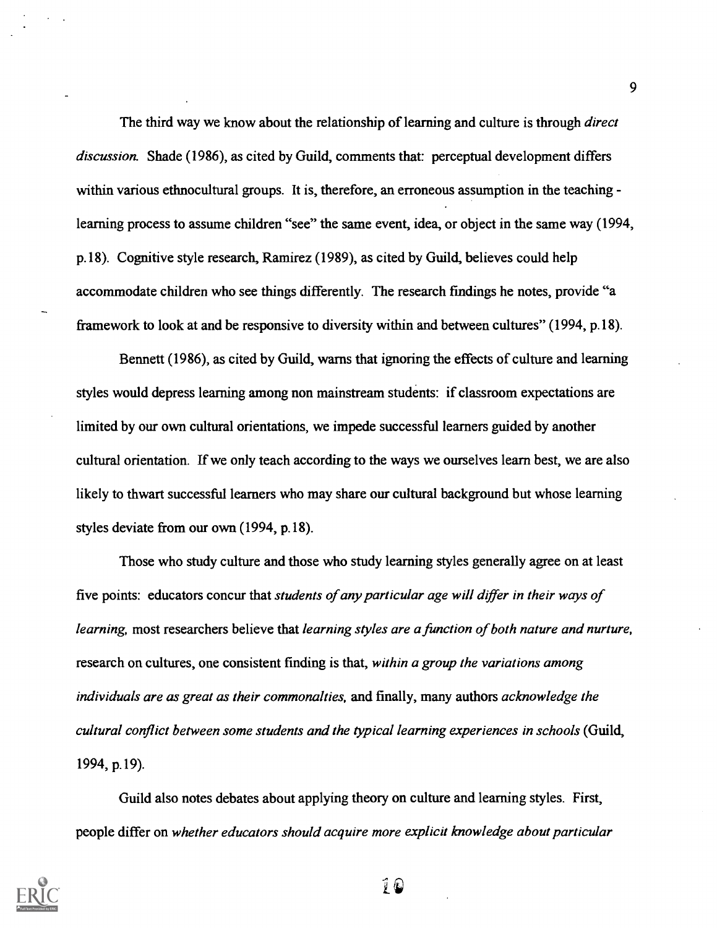The third way we know about the relationship of learning and culture is through *direct* discussion. Shade (1986), as cited by Guild, comments that: perceptual development differs within various ethnocultural groups. It is, therefore, an erroneous assumption in the teaching learning process to assume children "see" the same event, idea, or object in the same way (1994, p.18). Cognitive style research, Ramirez (1989), as cited by Guild, believes could help accommodate children who see things differently. The research findings he notes, provide "a framework to look at and be responsive to diversity within and between cultures" (1994, p.18).

Bennett (1986), as cited by Guild, warns that ignoring the effects of culture and learning styles would depress learning among non mainstream students: if classroom expectations are limited by our own cultural orientations, we impede successful learners guided by another cultural orientation. If we only teach according to the ways we ourselves learn best, we are also likely to thwart successful learners who may share our cultural background but whose learning styles deviate from our own (1994, p.18).

Those who study culture and those who study learning styles generally agree on at least five points: educators concur that students of any particular age will differ in their ways of learning, most researchers believe that learning styles are a function of both nature and nurture, research on cultures, one consistent finding is that, within a group the variations among individuals are as great as their commonalties, and finally, many authors acknowledge the cultural conflict between some students and the typical learning experiences in schools (Guild, 1994, p.19).

Guild also notes debates about applying theory on culture and learning styles. First, people differ on whether educators should acquire more explicit knowledge about particular



Į O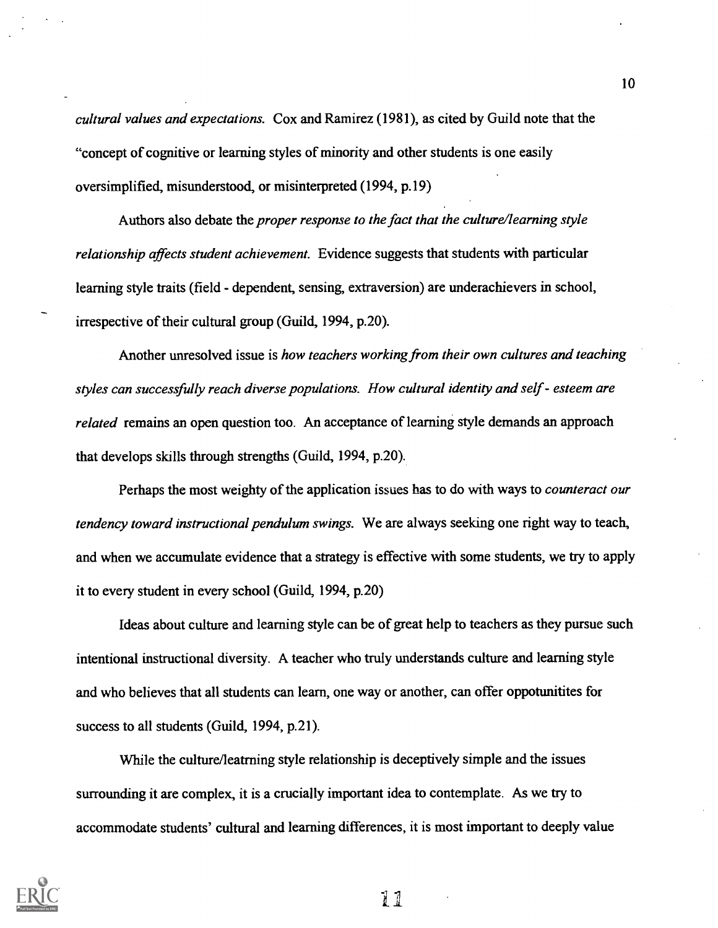cultural values and expectations. Cox and Ramirez (1981), as cited by Guild note that the "concept of cognitive or learning styles of minority and other students is one easily oversimplified, misunderstood, or misinterpreted (1994, p.19)

Authors also debate the proper response to the fact that the culture/learning style relationship affects student achievement. Evidence suggests that students with particular learning style traits (field - dependent, sensing, extraversion) are underachievers in school, irrespective of their cultural group (Guild, 1994, p.20).

Another unresolved issue is how teachers working from their own cultures and teaching styles can successfully reach diverse populations. How cultural identity and self - esteem are related remains an open question too. An acceptance of learning style demands an approach that develops skills through strengths (Guild, 1994, p.20).

Perhaps the most weighty of the application issues has to do with ways to *counteract our* tendency toward instructional pendulum swings. We are always seeking one right way to teach, and when we accumulate evidence that a strategy is effective with some students, we try to apply it to every student in every school (Guild, 1994, p.20)

Ideas about culture and learning style can be of great help to teachers as they pursue such intentional instructional diversity. A teacher who truly understands culture and learning style and who believes that all students can learn, one way or another, can offer oppotunitites for success to all students (Guild, 1994, p.21).

While the culture/leatrning style relationship is deceptively simple and the issues surrounding it are complex, it is a crucially important idea to contemplate. As we try to accommodate students' cultural and learning differences, it is most important to deeply value

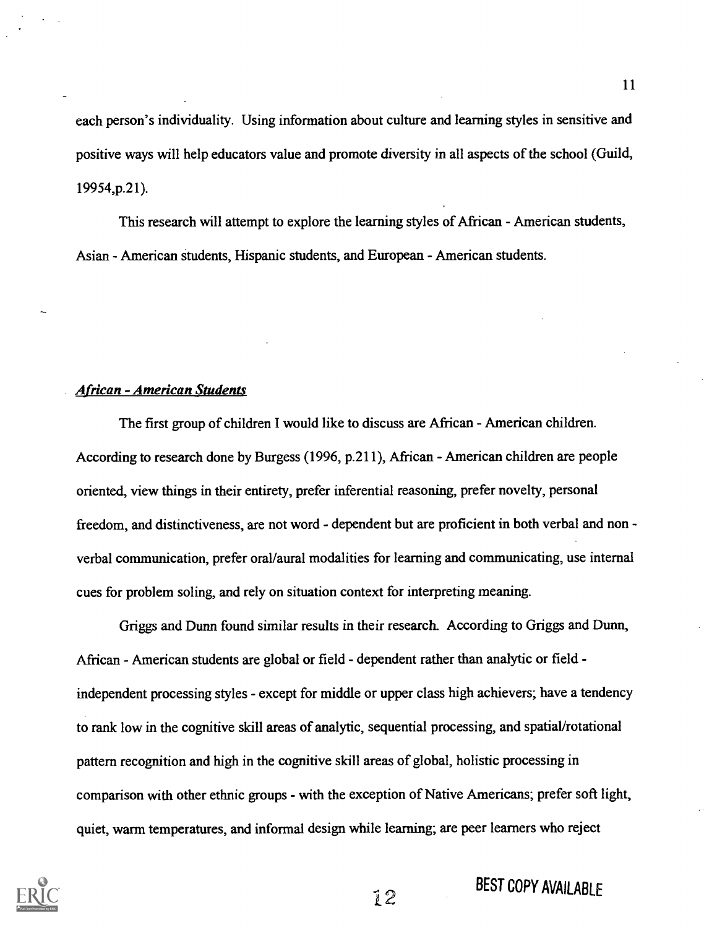each person's individuality. Using information about culture and learning styles in sensitive and positive ways will help educators value and promote diversity in all aspects of the school (Guild, 19954,p.21).

This research will attempt to explore the learning styles of African - American students, Asian - American students, Hispanic students, and European - American students.

#### African - American Students

The first group of children I would like to discuss are African - American children. According to research done by Burgess (1996, p.211), African - American children are people oriented, view things in their entirety, prefer inferential reasoning, prefer novelty, personal freedom, and distinctiveness, are not word - dependent but are proficient in both verbal and non verbal communication, prefer oral/aural modalities for learning and communicating, use internal cues for problem soling, and rely on situation context for interpreting meaning.

Griggs and Dunn found similar results in their research. According to Griggs and Dunn, African - American students are global or field - dependent rather than analytic or field independent processing styles - except for middle or upper class high achievers; have a tendency to rank low in the cognitive skill areas of analytic, sequential processing, and spatial/rotational pattern recognition and high in the cognitive skill areas of global, holistic processing in comparison with other ethnic groups - with the exception of Native Americans; prefer soft light, quiet, warm temperatures, and informal design while learning; are peer learners who reject



## **BEST COPY AVAILABLE**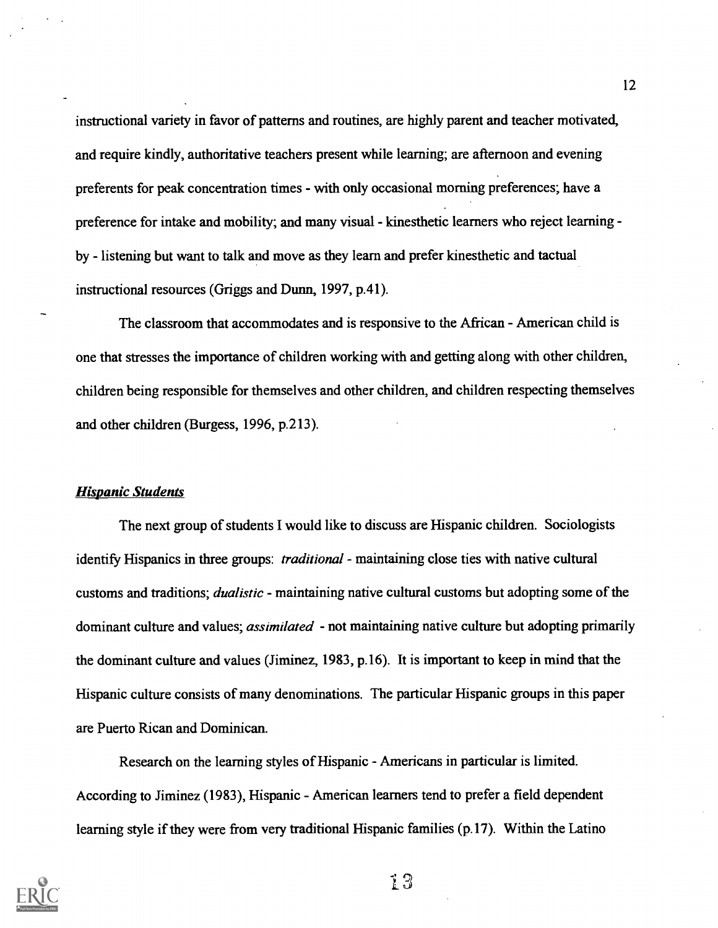instructional variety in favor of patterns and routines, are highly parent and teacher motivated, and require kindly, authoritative teachers present while learning; are afternoon and evening preferents for peak concentration times - with only occasional morning preferences; have a preference for intake and mobility; and many visual - kinesthetic learners who reject learning by - listening but want to talk and move as they learn and prefer kinesthetic and tactual instructional resources (Griggs and Dunn, 1997, p.41).

The classroom that accommodates and is responsive to the African - American child is one that stresses the importance of children working with and getting along with other children, children being responsible for themselves and other children, and children respecting themselves and other children (Burgess, 1996, p.213).

#### **Hispanic Students**

The next group of students I would like to discuss are Hispanic children. Sociologists identify Hispanics in three groups: *traditional* - maintaining close ties with native cultural customs and traditions; dualistic - maintaining native cultural customs but adopting some of the dominant culture and values; *assimilated* - not maintaining native culture but adopting primarily the dominant culture and values (Jiminez, 1983, p.16). It is important to keep in mind that the Hispanic culture consists of many denominations. The particular Hispanic groups in this paper are Puerto Rican and Dominican.

Research on the learning styles of Hispanic - Americans in particular is limited. According to Jiminez (1983), Hispanic - American learners tend to prefer a field dependent learning style if they were from very traditional Hispanic families (p.17). Within the Latino

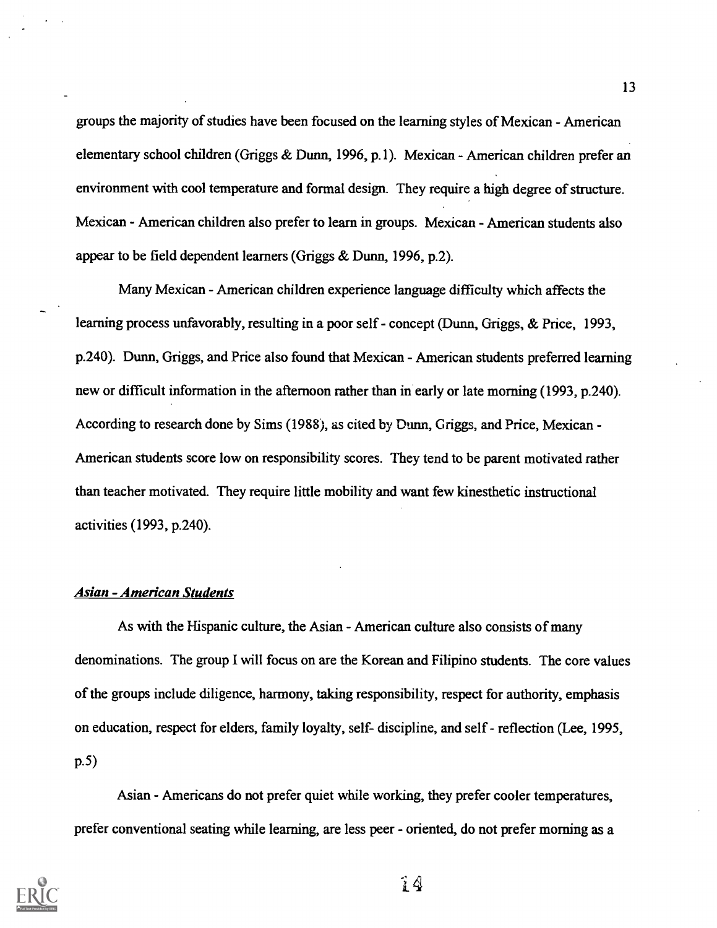groups the majority of studies have been focused on the learning styles of Mexican - American elementary school children (Griggs & Dunn, 1996, p.1). Mexican - American children prefer an environment with cool temperature and formal design. They require a high degree of structure. Mexican - American children also prefer to learn in groups. Mexican - American students also appear to be field dependent learners (Griggs & Dunn, 1996, p.2).

Many Mexican - American children experience language difficulty which affects the learning process unfavorably, resulting in a poor self- concept (Dunn, Griggs, & Price, 1993, p.240). Dunn, Griggs, and Price also found that Mexican - American students preferred learning new or difficult information in the afternoon rather than in early or late morning (1993, p.240). According to research done by Sims (1988), as cited by Dunn, Griggs, and Price, Mexican- American students score low on responsibility scores. They tend to be parent motivated rather than teacher motivated. They require little mobility and want few kinesthetic instructional activities (1993, p.240).

#### Asian - American Students

As with the Hispanic culture, the Asian - American culture also consists of many denominations. The group I will focus on are the Korean and Filipino students. The core values of the groups include diligence, harmony, taking responsibility, respect for authority, emphasis on education, respect for elders, family loyalty, self- discipline, and self - reflection (Lee, 1995, p.5)

Asian - Americans do not prefer quiet while working, they prefer cooler temperatures, prefer conventional seating while learning, are less peer - oriented, do not prefer morning as a



ÎА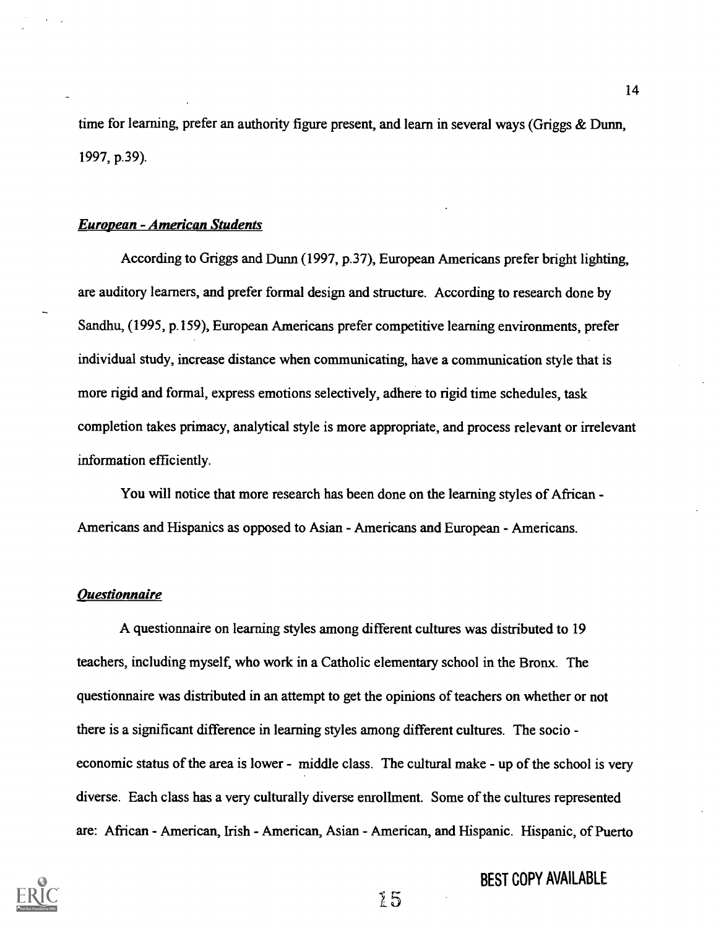time for learning, prefer an authority figure present, and learn in several ways (Griggs & Dunn, 1997, p.39).

#### European - American Students

According to Griggs and Dunn (1997, p.37), European Americans prefer bright lighting, are auditory learners, and prefer formal design and structure. According to research done by Sandhu, (1995, p.159), European Americans prefer competitive learning environments, prefer individual study, increase distance when communicating, have a communication style that is more rigid and formal, express emotions selectively, adhere to rigid time schedules, task completion takes primacy, analytical style is more appropriate, and process relevant or irrelevant information efficiently.

You will notice that more research has been done on the learning styles of African - Americans and Hispanics as opposed to Asian - Americans and European - Americans.

#### Questionnaire

A questionnaire on learning styles among different cultures was distributed to 19 teachers, including myself, who work in a Catholic elementary school in the Bronx. The questionnaire was distributed in an attempt to get the opinions of teachers on whether or not there is a significant difference in learning styles among different cultures. The socio economic status of the area is lower - middle class. The cultural make - up of the school is very diverse. Each class has a very culturally diverse enrollment. Some of the cultures represented are: African - American, Irish - American, Asian - American, and Hispanic. Hispanic, of Puerto



### BEST COPY AVAILABLE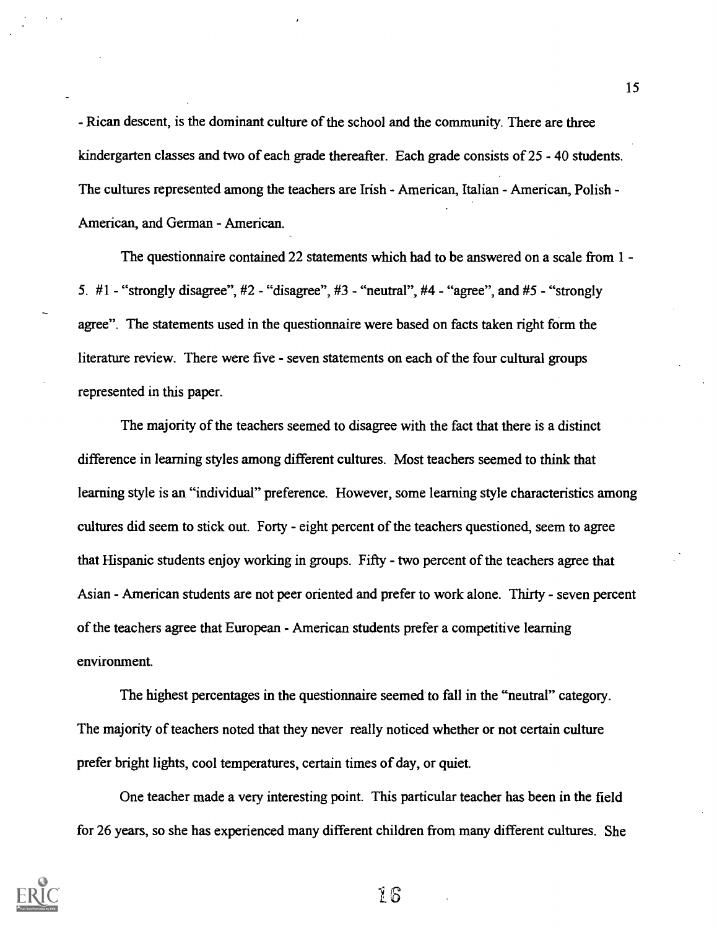- Rican descent, is the dominant culture of the school and the community. There are three kindergarten classes and two of each grade thereafter. Each grade consists of 25 - 40 students. The cultures represented among the teachers are Irish - American, Italian - American, Polish - American, and German - American.

The questionnaire contained 22 statements which had to be answered on a scale from 1 - 5.  $#1$  - "strongly disagree",  $#2$  - "disagree",  $#3$  - "neutral",  $#4$  - "agree", and  $#5$  - "strongly agree". The statements used in the questionnaire were based on facts taken right form the literature review. There were five - seven statements on each of the four cultural groups represented in this paper.

The majority of the teachers seemed to disagree with the fact that there is a distinct difference in learning styles among different cultures. Most teachers seemed to think that learning style is an "individual" preference. However, some learning style characteristics among cultures did seem to stick out. Forty - eight percent of the teachers questioned, seem to agree that Hispanic students enjoy working in groups. Fifty - two percent of the teachers agree that Asian - American students are not peer oriented and prefer to work alone. Thirty - seven percent of the teachers agree that European - American students prefer a competitive learning environment.

The highest percentages in the questionnaire seemed to fall in the "neutral" category. The majority of teachers noted that they never really noticed whether or not certain culture prefer bright lights, cool temperatures, certain times of day, or quiet.

One teacher made a very interesting point. This particular teacher has been in the field for 26 years, so she has experienced many different children from many different cultures. She



16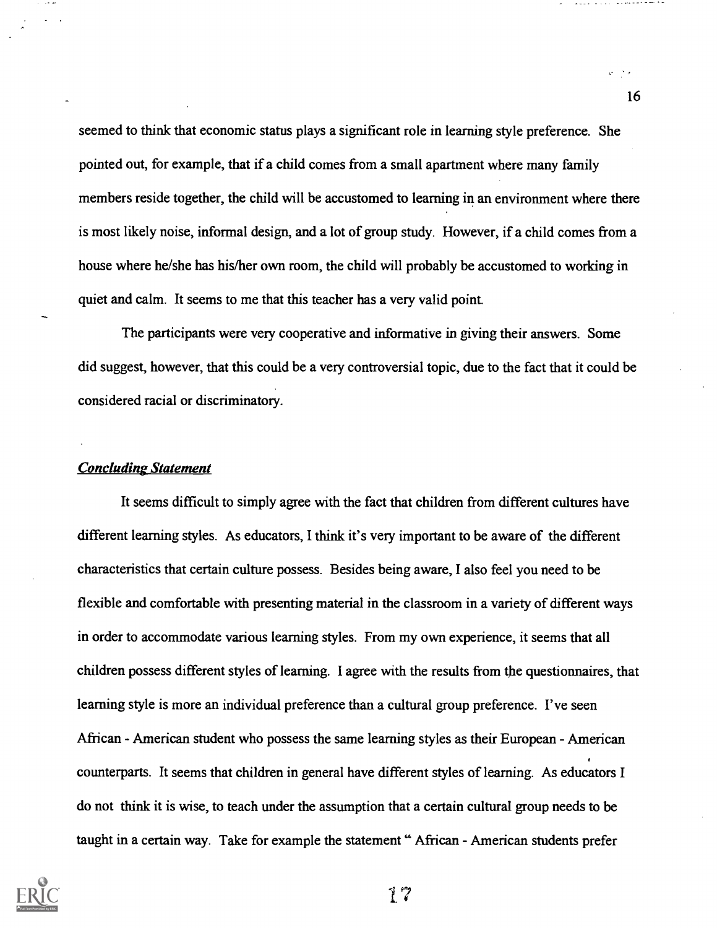seemed to think that economic status plays a significant role in learning style preference. She pointed out, for example, that if a child comes from a small apartment where many family members reside together, the child will be accustomed to learning in an environment where there is most likely noise, informal design, and a lot of group study. However, if a child comes from a house where he/she has his/her own room, the child will probably be accustomed to working in quiet and calm. It seems to me that this teacher has a very valid point.

The participants were very cooperative and informative in giving their answers. Some did suggest, however, that this could be a very controversial topic, due to the fact that it could be considered racial or discriminatory.

#### Concluding Statement

It seems difficult to simply agree with the fact that children from different cultures have different learning styles. As educators, I think it's very important to be aware of the different characteristics that certain culture possess. Besides being aware, I also feel you need to be flexible and comfortable with presenting material in the classroom in a variety of different ways in order to accommodate various learning styles. From my own experience, it seems that all children possess different styles of learning. I agree with the results from the questionnaires, that learning style is more an individual preference than a cultural group preference. I've seen African - American student who possess the same learning styles as their European - American counterparts. It seems that children in general have different styles of learning. As educators I do not think it is wise, to teach under the assumption that a certain cultural group needs to be taught in a certain way. Take for example the statement " African - American students prefer



17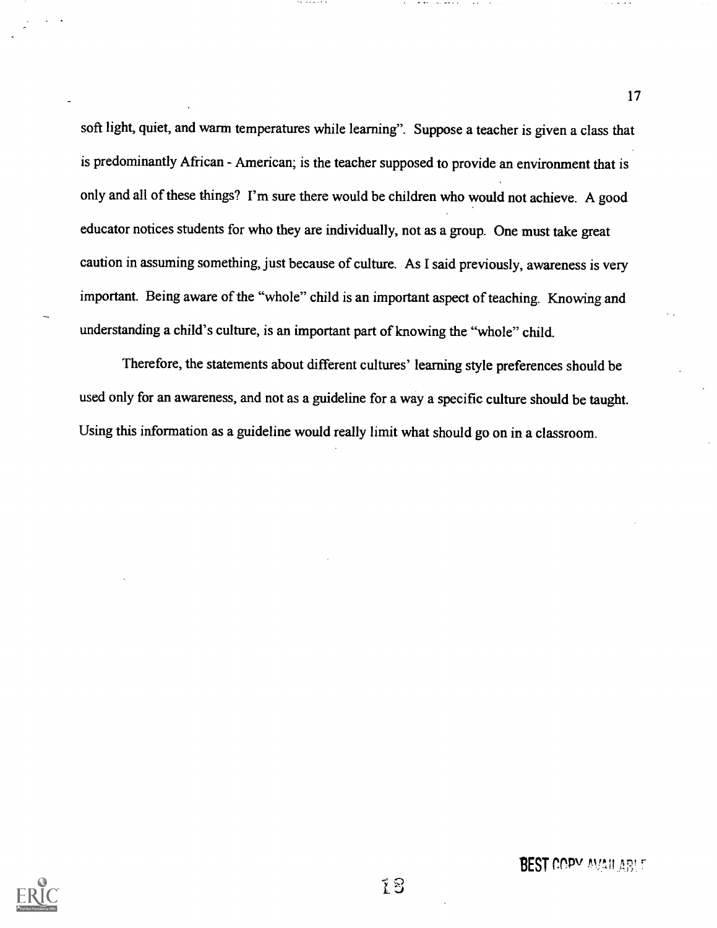soft light, quiet, and warm temperatures while learning". Suppose a teacher is given a class that is predominantly African - American; is the teacher supposed to provide an environment that is only and all of these things? I'm sure there would be children who would not achieve. A good educator notices students for who they are individually, not as a group. One must take great caution in assuming something, just because of culture. As I said previously, awareness is very important. Being aware of the "whole" child is an important aspect of teaching. Knowing and understanding a child's culture, is an important part of knowing the "whole" child.

Therefore, the statements about different cultures' learning style preferences should be used only for an awareness, and not as a guideline for a way a specific culture should be taught. Using this information as a guideline would really limit what should go on in a classroom.



**BEST COPY AVAILARLE**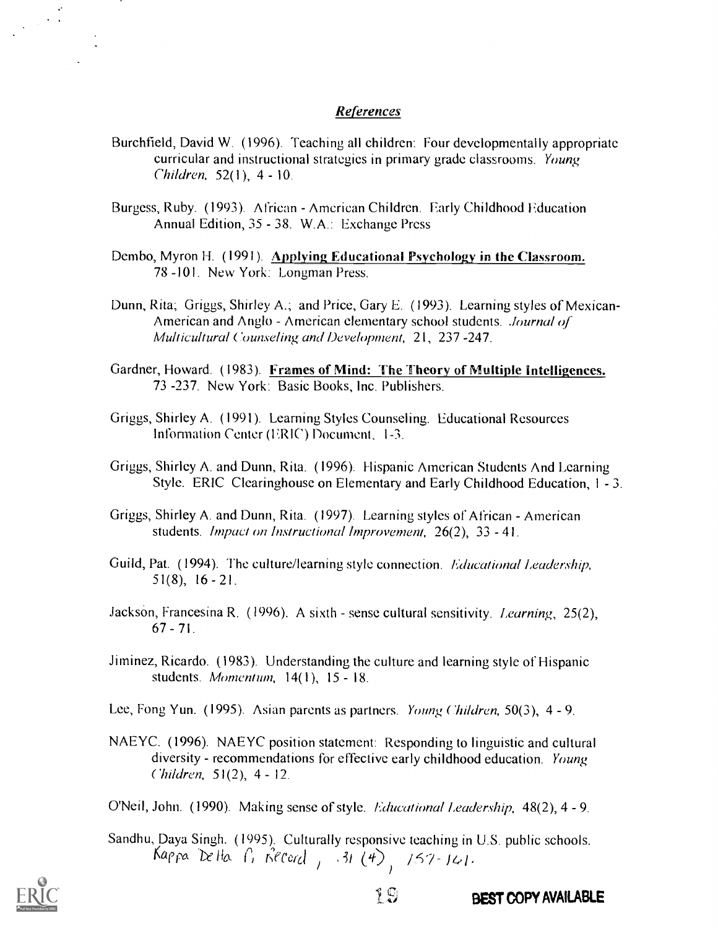#### References

- Burchfield, David W. (1996). Teaching all children: Four developmentally appropriate curricular and instructional strategies in primary grade classrooms. Young  $Children, 52(1), 4 - 10.$
- Burgess, Ruby. (1993). African American Children. Early Childhood Education Annual Edition, 35 - 38. W.A.: Exchange Press
- Dembo, Myron H. (1991). Applying Educational Psychology in the Classroom. 78 -101. New York: Longman Press.
- Dunn, Rita; Griggs, Shirley A.; and Price, Gary E. (1993). Learning styles of Mexican-American and Anglo - American elementary school students. Journal of Multicultural Counseling and Development, 21, 237 -247.
- Gardner, Howard. (1983). Frames of Mind: The Theory of Multiple intelligences. 73 -237. New York: Basic Books, Inc. Publishers.
- Griggs, Shirley A. (1991). Learning Styles Counseling. Educational Resources Information Center (ERIC') Document, 1-3.
- Griggs, Shirley A. and Dunn, Rita. (1996). Hispanic American Students And Learning Style. ERIC Clearinghouse on Elementary and Early Childhood Education, 1 - 3.
- Griggs, Shirley A. and Dunn, Rita. (1997). Learning styles of African American students. Impact on Instructional Improvement, 26(2), 33 - 41.
- Guild, Pat. (1994). The culture/learning style connection. Educational Leadership, 51(8), 16 - 21.
- Jackson, Francesina R. (1996). A sixth sense cultural sensitivity. Learning, 25(2),  $67 - 71$ .
- Jiminez, Ricardo. (1983). Understanding the culture and learning style of Hispanic students. Momentum,  $14(1)$ ,  $15 - 18$ .

Lee, Fong Yun. (1995). Asian parents as partners. Young Children, 50(3), 4 - 9.

NAEYC. (1996). NAEYC position statement: Responding to linguistic and cultural diversity - recommendations for effective early childhood education. Young Children, 51(2), 4 - 12.

O'Neil, John. (1990). Making sense of style. *Educational Leadership*, 48(2), 4 - 9.

Sandhu, Daya Singh. (1995). Culturally responsive teaching in U.S. public schools. Kappa Delta P, Record , 131 (4), 157-141.



BEST COPY AVAILABLE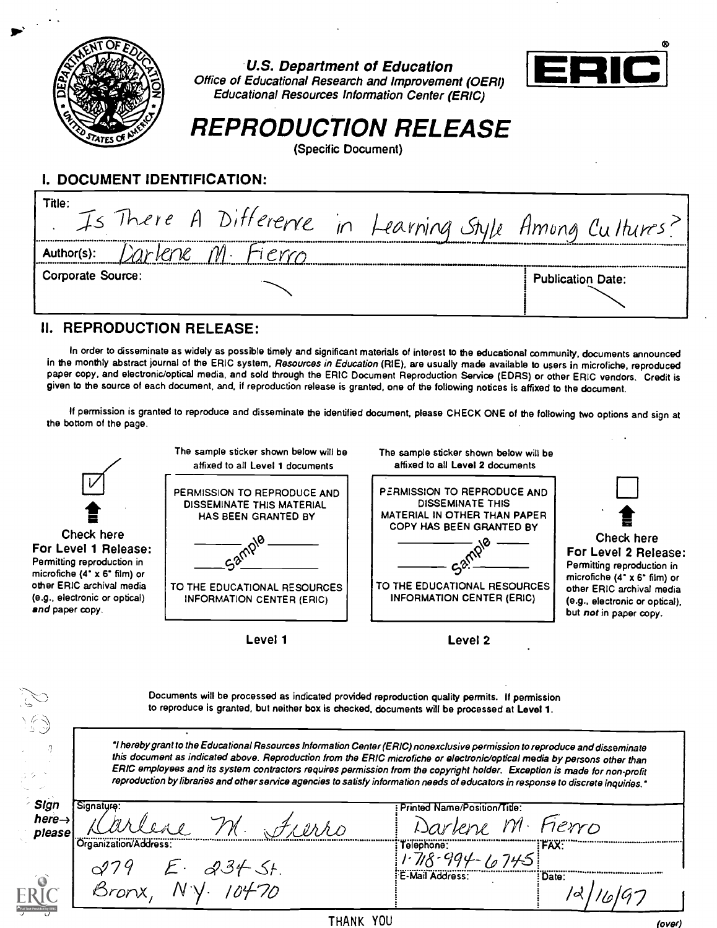

U.S. Department of Education



Office of Educational Research and Improvement (OERI) Educational Resources Information Center (ERIC)

## REPRODUCTION RELEASE

(Specific Document)

### I. DOCUMENT IDENTIFICATION:

### II. REPRODUCTION RELEASE:

In order to disseminate as widely as possible timely and significant materials of interest to the educational community, documents announced in the monthly abstract journal of the ERIC system, Resources in Education (RIE), are usually made available to users in microfiche, reproduced paper copy, and electronic/optical media, and sold through the ERIC Document Reproduction Service (EDRS) or other ERIC vendors. Credit is given to the source of each document, and, if reproduction release is granted, one of the following notices is affixed to the document.

If permission is granted to reproduce and disseminate the identified document, please CHECK ONE of the following two options and sign at the bottom of the page.